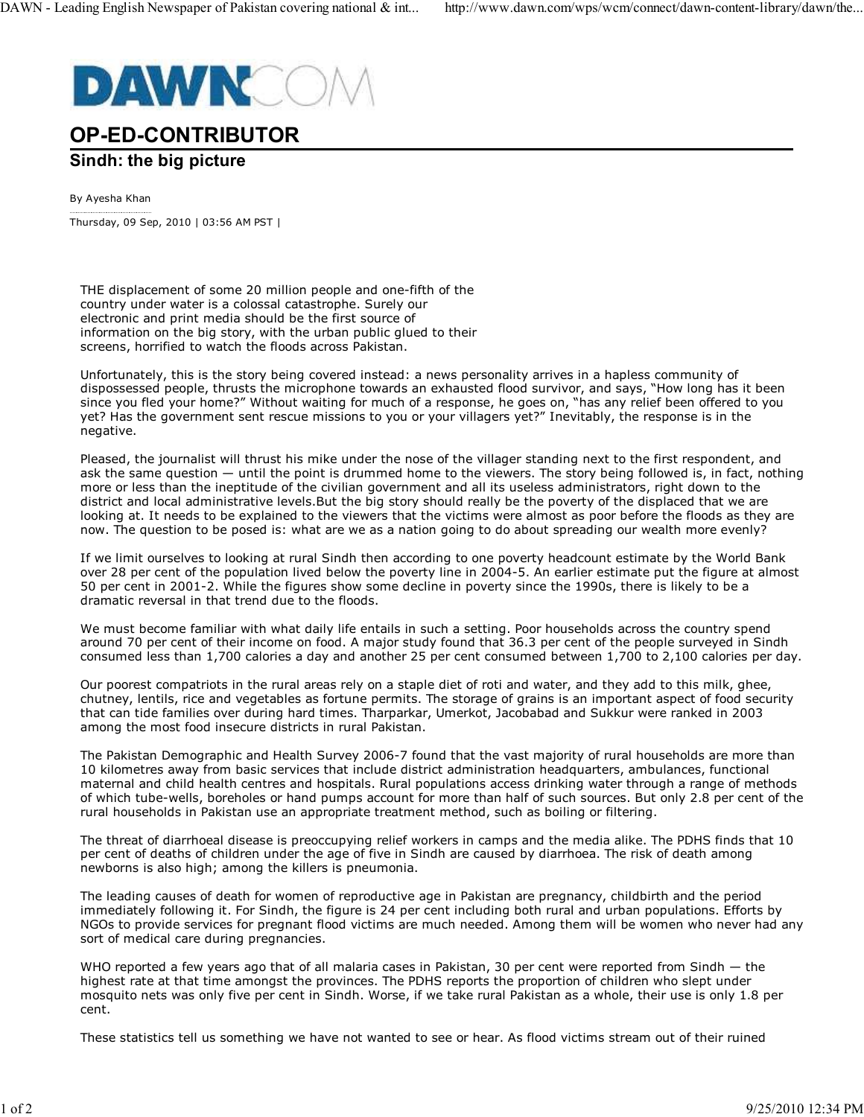

## **OP-ED-CONTRIBUTOR**

## **Sindh: the big picture**

By Ayesha Khan

Thursday, 09 Sep, 2010 | 03:56 AM PST |

THE displacement of some 20 million people and one-fifth of the country under water is a colossal catastrophe. Surely our electronic and print media should be the first source of information on the big story, with the urban public glued to their screens, horrified to watch the floods across Pakistan.

Unfortunately, this is the story being covered instead: a news personality arrives in a hapless community of dispossessed people, thrusts the microphone towards an exhausted flood survivor, and says, "How long has it been since you fled your home?" Without waiting for much of a response, he goes on, "has any relief been offered to you yet? Has the government sent rescue missions to you or your villagers yet?" Inevitably, the response is in the negative.

Pleased, the journalist will thrust his mike under the nose of the villager standing next to the first respondent, and ask the same question — until the point is drummed home to the viewers. The story being followed is, in fact, nothing more or less than the ineptitude of the civilian government and all its useless administrators, right down to the district and local administrative levels.But the big story should really be the poverty of the displaced that we are looking at. It needs to be explained to the viewers that the victims were almost as poor before the floods as they are now. The question to be posed is: what are we as a nation going to do about spreading our wealth more evenly?

If we limit ourselves to looking at rural Sindh then according to one poverty headcount estimate by the World Bank over 28 per cent of the population lived below the poverty line in 2004-5. An earlier estimate put the figure at almost 50 per cent in 2001-2. While the figures show some decline in poverty since the 1990s, there is likely to be a dramatic reversal in that trend due to the floods.

We must become familiar with what daily life entails in such a setting. Poor households across the country spend around 70 per cent of their income on food. A major study found that 36.3 per cent of the people surveyed in Sindh consumed less than 1,700 calories a day and another 25 per cent consumed between 1,700 to 2,100 calories per day.

Our poorest compatriots in the rural areas rely on a staple diet of roti and water, and they add to this milk, ghee, chutney, lentils, rice and vegetables as fortune permits. The storage of grains is an important aspect of food security that can tide families over during hard times. Tharparkar, Umerkot, Jacobabad and Sukkur were ranked in 2003 among the most food insecure districts in rural Pakistan.

The Pakistan Demographic and Health Survey 2006-7 found that the vast majority of rural households are more than 10 kilometres away from basic services that include district administration headquarters, ambulances, functional maternal and child health centres and hospitals. Rural populations access drinking water through a range of methods of which tube-wells, boreholes or hand pumps account for more than half of such sources. But only 2.8 per cent of the rural households in Pakistan use an appropriate treatment method, such as boiling or filtering.

The threat of diarrhoeal disease is preoccupying relief workers in camps and the media alike. The PDHS finds that 10 per cent of deaths of children under the age of five in Sindh are caused by diarrhoea. The risk of death among newborns is also high; among the killers is pneumonia.

The leading causes of death for women of reproductive age in Pakistan are pregnancy, childbirth and the period immediately following it. For Sindh, the figure is 24 per cent including both rural and urban populations. Efforts by NGOs to provide services for pregnant flood victims are much needed. Among them will be women who never had any sort of medical care during pregnancies.

WHO reported a few years ago that of all malaria cases in Pakistan, 30 per cent were reported from Sindh - the highest rate at that time amongst the provinces. The PDHS reports the proportion of children who slept under mosquito nets was only five per cent in Sindh. Worse, if we take rural Pakistan as a whole, their use is only 1.8 per cent.

These statistics tell us something we have not wanted to see or hear. As flood victims stream out of their ruined